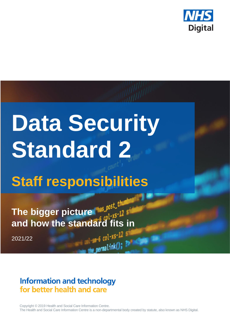

# **Data Security Standard 2**

# **Staff responsibilities**

The bigger picture **Nas post** the **and how the standard fits in**<br>2021/22<br>2021/22

2021/22

# **Information and technology** for better health and care

Copyright © 2019 Health and Social Care Information Centre. The Health and Social Care Information Centre is a non-departmental body created by statute, also known as NHS Digital.

permalink(); ?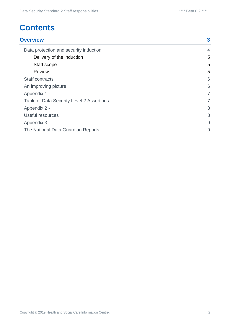# **Contents**

| <b>Overview</b>                           |                |
|-------------------------------------------|----------------|
| Data protection and security induction    | $\overline{4}$ |
| Delivery of the induction                 | 5              |
| Staff scope                               | 5              |
| <b>Review</b>                             | 5              |
| <b>Staff contracts</b>                    | 6              |
| An improving picture                      | 6              |
| Appendix 1 -                              | 7              |
| Table of Data Security Level 2 Assertions |                |
| Appendix 2 -                              | 8              |

| $\Delta$                           |  |
|------------------------------------|--|
| Useful resources                   |  |
| Appendix $3-$                      |  |
| The National Data Guardian Reports |  |

Copyright © 2019 Health and Social Care Information Centre. 2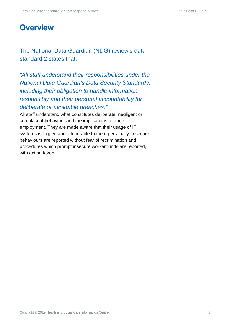# <span id="page-2-0"></span>**Overview**

The National Data Guardian (NDG) review's data standard 2 states that:

*"All staff understand their responsibilities under the National Data Guardian's Data Security Standards, including their obligation to handle information responsibly and their personal accountability for deliberate or avoidable breaches."*

All staff understand what constitutes deliberate, negligent or complacent behaviour and the implications for their employment. They are made aware that their usage of IT systems is logged and attributable to them personally. Insecure behaviours are reported without fear of recrimination and procedures which prompt insecure workarounds are reported, with action taken.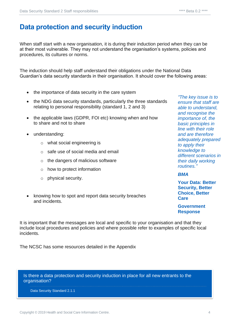# <span id="page-3-0"></span>**Data protection and security induction**

When staff start with a new organisation, it is during their induction period when they can be at their most vulnerable. They may not understand the organisation's systems, policies and procedures, its cultures or norms.

The induction should help staff understand their obligations under the National Data Guardian's data security standards in their organisation. It should cover the following areas:

- the importance of data security in the care system
- the NDG data security standards, particularly the three standards relating to personal responsibility (standard 1, 2 and 3)
- the applicable laws (GDPR, FOI etc) knowing when and how to share and not to share
- understanding:
	- o what social engineering is
	- o safe use of social media and email
	- o the dangers of malicious software
	- o how to protect information
	- o physical security.
- knowing how to spot and report data security breaches and incidents.

*"The key issue is to ensure that staff are able to understand, and recognise the importance of, the basic principles in line with their role and are therefore adequately prepared to apply their knowledge to different scenarios in their daily working routines."*

#### *BMA*

**Your Data: Better Security, Better Choice, Better Care**

**Government Response** 

It is important that the messages are local and specific to your organisation and that they include local procedures and policies and where possible refer to examples of specific local incidents.

The NCSC has some resources detailed in the Appendix

Is there a data protection and security induction in place for all new entrants to the organisation?

Data Security Standard 2.1.1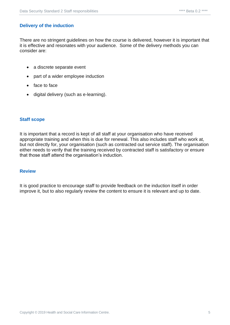#### <span id="page-4-0"></span>**Delivery of the induction**

There are no stringent guidelines on how the course is delivered, however it is important that it is effective and resonates with your audience. Some of the delivery methods you can consider are:

- a discrete separate event
- part of a wider employee induction
- face to face
- digital delivery (such as e-learning).

#### <span id="page-4-1"></span>**Staff scope**

It is important that a record is kept of all staff at your organisation who have received appropriate training and when this is due for renewal. This also includes staff who work at, but not directly for, your organisation (such as contracted out service staff). The organisation either needs to verify that the training received by contracted staff is satisfactory or ensure that those staff attend the organisation's induction.

#### <span id="page-4-2"></span>**Review**

It is good practice to encourage staff to provide feedback on the induction itself in order improve it, but to also regularly review the content to ensure it is relevant and up to date.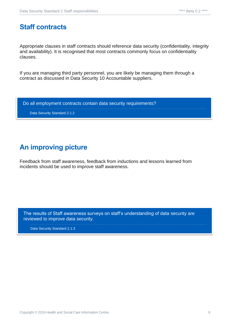## <span id="page-5-0"></span>**Staff contracts**

Appropriate clauses in staff contracts should reference data security (confidentiality, integrity and availability). It is recognised that most contracts commonly focus on confidentiality clauses.

If you are managing third party personnel, you are likely be managing them through a contract as discussed in Data Security 10 Accountable suppliers.

Do all employment contracts contain data security requirements?

Data Security Standard 2.1.2

## <span id="page-5-1"></span>**An improving picture**

Feedback from staff awareness, feedback from inductions and lessons learned from incidents should be used to improve staff awareness.

The results of Staff awareness surveys on staff's understanding of data security are reviewed to improve data security.

Data Security Standard 2.1.3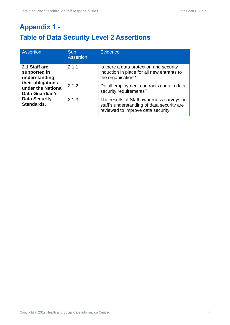# <span id="page-6-1"></span><span id="page-6-0"></span>**Appendix 1 - Table of Data Security Level 2 Assertions**

| <b>Assertion</b>                                                                                                                                   | <b>Sub</b><br><b>Assertion</b> | Evidence                                                                                                                      |
|----------------------------------------------------------------------------------------------------------------------------------------------------|--------------------------------|-------------------------------------------------------------------------------------------------------------------------------|
| 2.1 Staff are<br>supported in<br>understanding<br>their obligations<br>under the National<br>Data Guardian's<br><b>Data Security</b><br>Standards. | 2.1.1                          | Is there a data protection and security<br>induction in place for all new entrants to<br>the organisation?                    |
|                                                                                                                                                    | 2.1.2                          | Do all employment contracts contain data<br>security requirements?                                                            |
|                                                                                                                                                    | 2.1.3                          | The results of Staff awareness surveys on<br>staff's understanding of data security are<br>reviewed to improve data security. |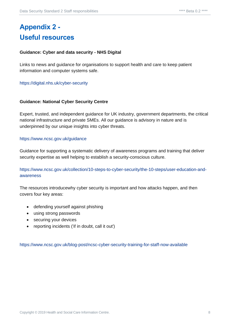# <span id="page-7-1"></span><span id="page-7-0"></span>**Appendix 2 - Useful resources**

#### **Guidance: Cyber and data security - NHS Digital**

Links to news and guidance for organisations to support health and care to keep patient information and computer systems safe.

<https://digital.nhs.uk/cyber-security>

#### **Guidance: National Cyber Security Centre**

Expert, trusted, and independent guidance for UK industry, government departments, the critical national infrastructure and private SMEs. All our guidance is advisory in nature and is underpinned by our unique insights into cyber threats.

#### <https://www.ncsc.gov.uk/guidance>

Guidance for supporting a systematic delivery of awareness programs and training that deliver security expertise as well helping to establish a security-conscious culture.

[https://www.ncsc.gov.uk/collection/10-steps-to-cyber-security/the-10-steps/user-education-and](https://www.ncsc.gov.uk/collection/10-steps-to-cyber-security/the-10-steps/user-education-and-awareness)[awareness](https://www.ncsc.gov.uk/collection/10-steps-to-cyber-security/the-10-steps/user-education-and-awareness)

The resources introducewhy cyber security is important and how attacks happen, and then covers four key areas:

- defending yourself against phishing
- using strong passwords
- securing your devices
- reporting incidents ('if in doubt, call it out')

<https://www.ncsc.gov.uk/blog-post/ncsc-cyber-security-training-for-staff-now-available>